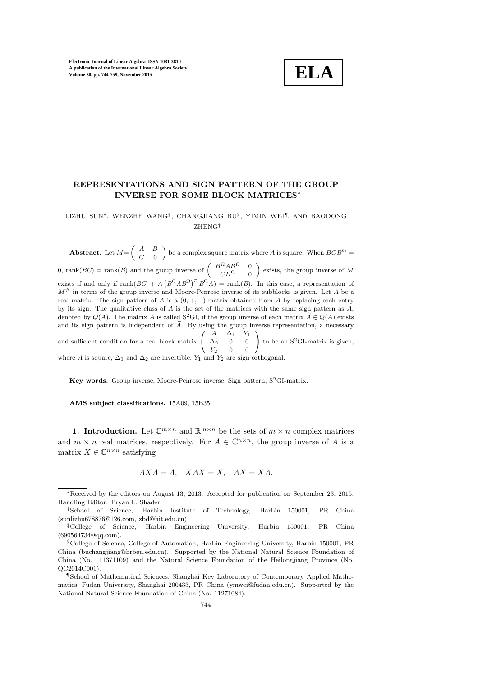

# REPRESENTATIONS AND SIGN PATTERN OF THE GROUP INVERSE FOR SOME BLOCK MATRICES<sup>∗</sup>

### LIZHU SUN† , WENZHE WANG‡ , CHANGJIANG BU§ , YIMIN WEI¶, AND BAODONG ZHENG†

Abstract. Let  $M = \begin{pmatrix} A & B \\ C & 0 \end{pmatrix}$  $C = 0$ be a complex square matrix where A is square. When  $BCB^{\Omega} =$ 0, rank(*BC*) = rank(*B*) and the group inverse of  $\begin{pmatrix} B^{\Omega}AB^{\Omega} & 0 \\ CD^{\Omega} & 0 \end{pmatrix}$  $CB^{\Omega}$  0  $\Big)$  exists, the group inverse of M exists if and only if  $\text{rank}(BC + A (B^{\Omega}AB^{\Omega})^{\pi} B^{\Omega}A) = \text{rank}(B)$ . In this case, a representation of  $M^{\#}$  in terms of the group inverse and Moore-Penrose inverse of its subblocks is given. Let A be a real matrix. The sign pattern of A is a  $(0, +, -)$ -matrix obtained from A by replacing each entry by its sign. The qualitative class of  $A$  is the set of the matrices with the same sign pattern as  $A$ , denoted by  $Q(A)$ . The matrix A is called S<sup>2</sup>GI, if the group inverse of each matrix  $A \in Q(A)$  exists and its sign pattern is independent of  $\widetilde{A}$ . By using the group inverse representation, a necessary and sufficient condition for a real block matrix  $\sqrt{ }$  $\mathbf{I}$  $A \quad \Delta_1 \quad Y_1$  $\Delta_2$  0 0  $Y_2$  0 0  $\setminus$ to be an  $S^2$ GI-matrix is given, where A is square,  $\Delta_1$  and  $\Delta_2$  are invertible,  $Y_1$  and  $Y_2$  are sign orthogonal.

Key words. Group inverse, Moore-Penrose inverse, Sign pattern,  $S^2$ GI-matrix.

AMS subject classifications. 15A09, 15B35.

**1. Introduction.** Let  $\mathbb{C}^{m \times n}$  and  $\mathbb{R}^{m \times n}$  be the sets of  $m \times n$  complex matrices and  $m \times n$  real matrices, respectively. For  $A \in \mathbb{C}^{n \times n}$ , the group inverse of A is a matrix  $X \in \mathbb{C}^{n \times n}$  satisfying

$$
AXA = A, \quad XAX = X, \quad AX = XA.
$$

<sup>∗</sup>Received by the editors on August 13, 2013. Accepted for publication on September 23, 2015. Handling Editor: Bryan L. Shader.

<sup>†</sup>School of Science, Harbin Institute of Technology, Harbin 150001, PR China (sunlizhu678876@126.com, zbd@hit.edu.cn).

<sup>‡</sup>College of Science, Harbin Engineering University, Harbin 150001, PR China (690564734@qq.com).

<sup>§</sup>College of Science, College of Automation, Harbin Engineering University, Harbin 150001, PR China (buchangjiang@hrbeu.edu.cn). Supported by the National Natural Science Foundation of China (No. 11371109) and the Natural Science Foundation of the Heilongjiang Province (No. QC2014C001).

<sup>¶</sup>School of Mathematical Sciences, Shanghai Key Laboratory of Contemporary Applied Mathematics, Fudan University, Shanghai 200433, PR China (ymwei@fudan.edu.cn). Supported by the National Natural Science Foundation of China (No. 11271084).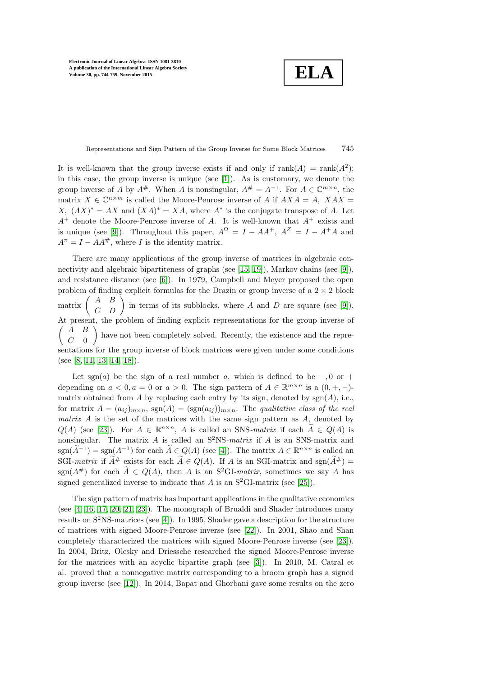**ELA**

Representations and Sign Pattern of the Group Inverse for Some Block Matrices 745

It is well-known that the group inverse exists if and only if  $rank(A) = rank(A^2)$ ; in this case, the group inverse is unique (see [\[1\]](#page-14-0)). As is customary, we denote the group inverse of A by  $A^{\#}$ . When A is nonsingular,  $A^{\#} = A^{-1}$ . For  $A \in \mathbb{C}^{m \times n}$ , the matrix  $X \in \mathbb{C}^{n \times m}$  is called the Moore-Penrose inverse of A if  $AXA = A$ ,  $XAX =$  $X, (AX)^* = AX$  and  $(XA)^* = XA$ , where  $A^*$  is the conjugate transpose of A. Let  $A^+$  denote the Moore-Penrose inverse of A. It is well-known that  $A^+$  exists and is unique (see [\[9\]](#page-15-0)). Throughout this paper,  $A^{\Omega} = I - AA^{+}$ ,  $A^{Z} = I - A^{+}A$  and  $A^{\pi} = I - AA^{\#}$ , where I is the identity matrix.

There are many applications of the group inverse of matrices in algebraic connectivity and algebraic bipartiteness of graphs (see [\[15,](#page-15-1) [19\]](#page-15-2)), Markov chains (see [\[9\]](#page-15-0)), and resistance distance (see [\[6\]](#page-15-3)). In 1979, Campbell and Meyer proposed the open problem of finding explicit formulas for the Drazin or group inverse of a  $2 \times 2$  block matrix  $\begin{pmatrix} A & B \\ C & D \end{pmatrix}$  in terms of its subblocks, where A and D are square (see [\[9\]](#page-15-0)). At present, the problem of finding explicit representations for the group inverse of  $\left( \begin{array}{cc} A & B \end{array} \right)$  $C=0$  $\setminus$ have not been completely solved. Recently, the existence and the representations for the group inverse of block matrices were given under some conditions (see [\[8,](#page-15-4) [11,](#page-15-5) [13,](#page-15-6) [14,](#page-15-7) [18\]](#page-15-8)).

Let sgn(a) be the sign of a real number a, which is defined to be  $-, 0 \text{ or } +$ depending on  $a < 0, a = 0$  or  $a > 0$ . The sign pattern of  $A \in \mathbb{R}^{m \times n}$  is a  $(0, +, -)$ matrix obtained from  $A$  by replacing each entry by its sign, denoted by  $sgn(A)$ , i.e., for matrix  $A = (a_{ij})_{m \times n}$ ,  $sgn(A) = (sgn(a_{ij}))_{m \times n}$ . The *qualitative class of the real matrix* A is the set of the matrices with the same sign pattern as A, denoted by  $Q(A)$  (see [\[23\]](#page-15-9)). For  $A \in \mathbb{R}^{n \times n}$ , A is called an SNS-matrix if each  $\widetilde{A} \in Q(A)$  is nonsingular. The matrix A is called an S<sup>2</sup>NS*-matrix* if A is an SNS-matrix and  $\operatorname{sgn}(\widetilde{A}^{-1}) = \operatorname{sgn}(A^{-1})$  for each  $\widetilde{A} \in Q(A)$  (see [\[4\]](#page-15-10)). The matrix  $A \in \mathbb{R}^{n \times n}$  is called an SGI-matrix if  $\widetilde{A}^{\#}$  exists for each  $\widetilde{A} \in Q(A)$ . If A is an SGI-matrix and sgn $(\widetilde{A}^{\#}) =$ sgn( $A^{\#}$ ) for each  $\widetilde{A} \in Q(A)$ , then A is an S<sup>2</sup>GI-matrix, sometimes we say A has signed generalized inverse to indicate that A is an  $S^2$ GI-matrix (see [\[25\]](#page-15-11)).

The sign pattern of matrix has important applications in the qualitative economics (see [\[4,](#page-15-10) [16,](#page-15-12) [17,](#page-15-13) [20,](#page-15-14) [21,](#page-15-15) [23\]](#page-15-9)). The monograph of Brualdi and Shader introduces many results on  $S^2$ NS-matrices (see [\[4\]](#page-15-10)). In 1995, Shader gave a description for the structure of matrices with signed Moore-Penrose inverse (see [\[22\]](#page-15-16)). In 2001, Shao and Shan completely characterized the matrices with signed Moore-Penrose inverse (see [\[23\]](#page-15-9)). In 2004, Britz, Olesky and Driessche researched the signed Moore-Penrose inverse for the matrices with an acyclic bipartite graph (see [\[3\]](#page-15-17)). In 2010, M. Catral et al. proved that a nonnegative matrix corresponding to a broom graph has a signed group inverse (see [\[12\]](#page-15-18)). In 2014, Bapat and Ghorbani gave some results on the zero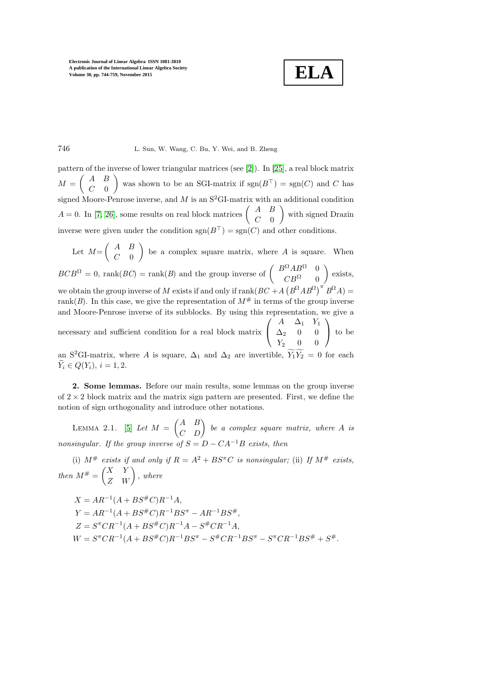**ELA**

### 746 L. Sun, W. Wang, C. Bu, Y. Wei, and B. Zheng

pattern of the inverse of lower triangular matrices (see [\[2\]](#page-14-1)). In [\[25\]](#page-15-11), a real block matrix  $M =$  $\left( A \right) B$  $C=0$ was shown to be an SGI-matrix if  $sgn(B<sup>T</sup>) = sgn(C)$  and C has signed Moore-Penrose inverse, and M is an  $S^2$ GI-matrix with an additional condition  $A = 0$ . In [\[7,](#page-15-19) [26\]](#page-15-20), some results on real block matrices  $\begin{pmatrix} A & B \\ C & 0 \end{pmatrix}$  $C=0$  $\setminus$ with signed Drazin inverse were given under the condition  $sgn(B<sup>T</sup>) = sgn(C)$  and other conditions.

Let  $M=$  $\left( A \right) B$  $C=0$  $\overline{ }$ be a complex square matrix, where  $A$  is square. When  $BCB^{\Omega} = 0$ , rank $(BC) = \text{rank}(B)$  and the group inverse of  $\begin{pmatrix} B^{\Omega}AB^{\Omega} & 0 \\ C D^{\Omega} & 0 \end{pmatrix}$  $CB^{\Omega} = 0$  $\overline{ }$ exists, we obtain the group inverse of M exists if and only if  $\text{rank}(BC + A(B^{\Omega}AB^{\Omega})^{\pi}B^{\Omega}A) =$ rank(*B*). In this case, we give the representation of  $M^{\#}$  in terms of the group inverse and Moore-Penrose inverse of its subblocks. By using this representation, we give a necessary and sufficient condition for a real block matrix  $\sqrt{ }$  $\mathbf{I}$  $A \quad \Delta_1 \quad Y_1$  $\Delta_2$  0 0  $Y_2$  0 0  $\setminus$ to be

an S<sup>2</sup>GI-matrix, where A is square,  $\Delta_1$  and  $\Delta_2$  are invertible,  $\widetilde{Y_1}\widetilde{Y_2} = 0$  for each  $\widetilde{Y}_i \in Q(Y_i), i = 1, 2.$ 

2. Some lemmas. Before our main results, some lemmas on the group inverse of  $2 \times 2$  block matrix and the matrix sign pattern are presented. First, we define the notion of sign orthogonality and introduce other notations.

LEMMA 2.1. [\[5\]](#page-15-21) Let  $M = \begin{pmatrix} A & B \\ C & D \end{pmatrix}$  be a complex square matrix, where A is *nonsingular. If the group inverse of*  $S = D - CA^{-1}B$  *exists, then* 

(i)  $M^{\#}$  *exists if and only if*  $R = A^2 + BS^{\pi}C$  *is nonsingular;* (ii) If  $M^{\#}$  *exists,*  $then M^{\#} = \begin{pmatrix} X & Y \\ Z & W \end{pmatrix}$ , where

$$
X = AR^{-1}(A + BS^{\#}C)R^{-1}A,
$$
  
\n
$$
Y = AR^{-1}(A + BS^{\#}C)R^{-1}BS^{\pi} - AR^{-1}BS^{\#},
$$
  
\n
$$
Z = S^{\pi}CR^{-1}(A + BS^{\#}C)R^{-1}A - S^{\#}CR^{-1}A,
$$
  
\n
$$
W = S^{\pi}CR^{-1}(A + BS^{\#}C)R^{-1}BS^{\pi} - S^{\#}CR^{-1}BS^{\pi} - S^{\pi}CR^{-1}BS^{\#} + S^{\#}.
$$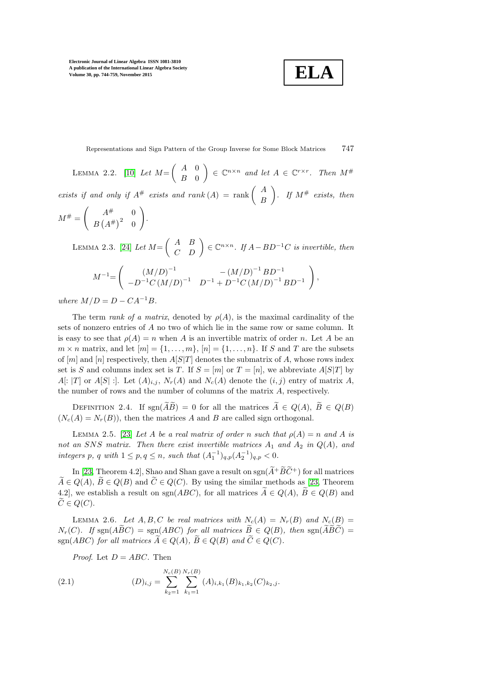$$
\boxed{\textbf{ELA}}
$$

Representations and Sign Pattern of the Group Inverse for Some Block Matrices 747

LEMMA 2.2. [\[10\]](#page-15-22) *Let*  $M = \begin{pmatrix} A & 0 \\ B & 0 \end{pmatrix}$  $B \quad 0$  $\Big) \in \mathbb{C}^{n \times n}$  and let  $A \in \mathbb{C}^{r \times r}$ . Then  $M^{\#}$ *exists if and only if*  $A^{\#}$  *exists and rank*  $(A) = \text{rank} \begin{pmatrix} A \\ D \end{pmatrix}$ B  $\int$ *.* If  $M^{\#}$  exists, then  $\sqrt{ }$ !

$$
M^{\#} = \left(\begin{array}{cc} A^{\#} & 0\\ B\left(A^{\#}\right)^{2} & 0 \end{array}\right).
$$

LEMMA 2.3. [\[24\]](#page-15-23) *Let*  $M = \begin{pmatrix} A & B \\ C & D \end{pmatrix} \in \mathbb{C}^{n \times n}$ . If  $A - BD^{-1}C$  *is invertible, then* 

$$
M^{-1} = \left( \begin{array}{cc} (M/D)^{-1} & -(M/D)^{-1} B D^{-1} \\ -D^{-1} C (M/D)^{-1} & D^{-1} + D^{-1} C (M/D)^{-1} B D^{-1} \end{array} \right),
$$

*where*  $M/D = D - CA^{-1}B$ .

The term *rank of a matrix*, denoted by  $\rho(A)$ , is the maximal cardinality of the sets of nonzero entries of A no two of which lie in the same row or same column. It is easy to see that  $\rho(A) = n$  when A is an invertible matrix of order n. Let A be an  $m \times n$  matrix, and let  $[m] = \{1, \ldots, m\}$ ,  $[n] = \{1, \ldots, n\}$ . If S and T are the subsets of  $[m]$  and  $[n]$  respectively, then  $A[S]T$  denotes the submatrix of A, whose rows index set is S and columns index set is T. If  $S = [m]$  or  $T = [n]$ , we abbreviate  $A[S|T]$  by  $A[:|T]$  or  $A[S]$ :... Let  $(A)_{i,j}$ ,  $N_r(A)$  and  $N_c(A)$  denote the  $(i,j)$  entry of matrix A, the number of rows and the number of columns of the matrix A, respectively.

DEFINITION 2.4. If  $sgn(\widetilde{AB}) = 0$  for all the matrices  $\widetilde{A} \in Q(A), \widetilde{B} \in Q(B)$  $(N_c(A) = N_r(B))$ , then the matrices A and B are called sign orthogonal.

LEMMA 2.5. [\[23\]](#page-15-9) *Let* A *be a real matrix of order* n *such that*  $\rho(A) = n$  *and* A *is not an* SNS matrix. Then there exist invertible matrices  $A_1$  and  $A_2$  in  $Q(A)$ *, and integers* p, q with  $1 \le p, q \le n$ , such that  $(A_1^{-1})_{q,p}(A_2^{-1})_{q,p} < 0$ .

In [\[23,](#page-15-9) Theorem 4.2], Shao and Shan gave a result on  $sgn(\widetilde{A}^+\widetilde{B}\widetilde{C}^+)$  for all matrices  $\widetilde{A} \in Q(A), \widetilde{B} \in Q(B)$  and  $\widetilde{C} \in Q(C)$ . By using the similar methods as [\[23,](#page-15-9) Theorem 4.2, we establish a result on sgn( $ABC$ ), for all matrices  $\widetilde{A} \in Q(A), \widetilde{B} \in Q(B)$  and  $C \in Q(C)$ .

LEMMA 2.6. Let A, B, C be real matrices with  $N_c(A) = N_r(B)$  and  $N_c(B) =$  $N_r(C)$ *.* If sgn( $\widehat{ABC}$ ) = sgn( $\widehat{ABC}$ ) for all matrices  $\widetilde{B} \in Q(B)$ *, then* sgn( $\widetilde{ABC}$ ) =  $\operatorname{sgn}(ABC)$  *for all matrices*  $\widetilde{A} \in Q(A)$ *,*  $\widetilde{B} \in Q(B)$  *and*  $\widetilde{C} \in Q(C)$ *.* 

*Proof.* Let  $D = ABC$ . Then

<span id="page-3-0"></span>(2.1) 
$$
(D)_{i,j} = \sum_{k_2=1}^{N_c(B)} \sum_{k_1=1}^{N_r(B)} (A)_{i,k_1}(B)_{k_1,k_2}(C)_{k_2,j}.
$$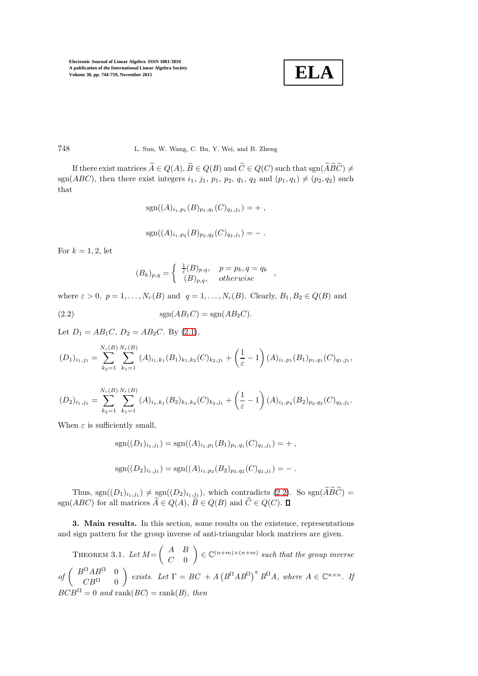$$
\boxed{\textbf{ELA}}
$$

748 L. Sun, W. Wang, C. Bu, Y. Wei, and B. Zheng

If there exist matrices  $\widetilde{A} \in Q(A), \widetilde{B} \in Q(B)$  and  $\widetilde{C} \in Q(C)$  such that  $sgn(\widetilde{A}\widetilde{B}\widetilde{C}) \neq 0$ sgn(ABC), then there exist integers  $i_1$ ,  $j_1$ ,  $p_1$ ,  $p_2$ ,  $q_1$ ,  $q_2$  and  $(p_1, q_1) \neq (p_2, q_2)$  such that

$$
sgn((A)_{i_1,p_1}(B)_{p_1,q_1}(C)_{q_1,j_1}) = + ,
$$

$$
sgn((A)_{i_1,p_2}(B)_{p_2,q_2}(C)_{q_2,j_1}) = -.
$$

For  $k = 1, 2$ , let

$$
(B_k)_{p,q} = \begin{cases} \frac{1}{\varepsilon}(B)_{p,q}, & p = p_k, q = q_k \\ (B)_{p,q}, & otherwise \end{cases}
$$

where  $\varepsilon > 0$ ,  $p = 1, \ldots, N_r(B)$  and  $q = 1, \ldots, N_c(B)$ . Clearly,  $B_1, B_2 \in Q(B)$  and

<span id="page-4-0"></span>
$$
\text{sgn}(AB_1C) = \text{sgn}(AB_2C).
$$

Let  $D_1 = AB_1C$ ,  $D_2 = AB_2C$ . By [\(2.1\)](#page-3-0),

$$
(D_1)_{i_1,j_1} = \sum_{k_2=1}^{N_c(B)} \sum_{k_1=1}^{N_r(B)} (A)_{i_1,k_1}(B_1)_{k_1,k_2}(C)_{k_2,j_1} + \left(\frac{1}{\varepsilon} - 1\right) (A)_{i_1,p_1}(B_1)_{p_1,q_1}(C)_{q_1,j_1},
$$

$$
(D_2)_{i_1,j_1} = \sum_{k_2=1}^{N_c(B)} \sum_{k_1=1}^{N_r(B)} (A)_{i_1,k_1}(B_2)_{k_1,k_2}(C)_{k_2,j_1} + \left(\frac{1}{\varepsilon} - 1\right) (A)_{i_1,p_2}(B_2)_{p_2,q_2}(C)_{q_2,j_1}.
$$

When  $\varepsilon$  is sufficiently small,

$$
sgn((D_1)_{i_1,j_1}) = sgn((A)_{i_1,p_1}(B_1)_{p_1,q_1}(C)_{q_1,j_1}) = + ,
$$
  

$$
sgn((D_2)_{i_1,j_1}) = sgn((A)_{i_1,p_2}(B_2)_{p_2,q_2}(C)_{q_2,j_1}) = - .
$$

Thus, sgn $((D_1)_{i_1,j_1}) \neq \text{sgn}((D_2)_{i_1,j_1})$ , which contradicts [\(2.2\)](#page-4-0). So sgn $(ABC)$  = sgn(ABC) for all matrices  $A \in Q(A)$ ,  $B \in Q(B)$  and  $C \in Q(C)$ .

3. Main results. In this section, some results on the existence, representations and sign pattern for the group inverse of anti-triangular block matrices are given.

THEOREM 3.1. Let  $M = \begin{pmatrix} A & B \\ C & 0 \end{pmatrix}$  $C=0$  $\Big) \in \mathbb{C}^{(n+m)\times (n+m)}$  such that the group inverse  $of\ \left(\begin{array}{cc} B^{\Omega}AB^{\Omega} & 0 \\ C B^{\Omega} & 0 \end{array}\right)$  $CB^{\Omega} = 0$  $\setminus$ *exists.* Let  $\Gamma = BC + A (B^{\Omega}AB^{\Omega})^{\pi} B^{\Omega}A$ , where  $A \in \mathbb{C}^{n \times n}$ . If  $BCB^{\Omega} = 0$  and rank( $BC$ ) = rank( $B$ ), then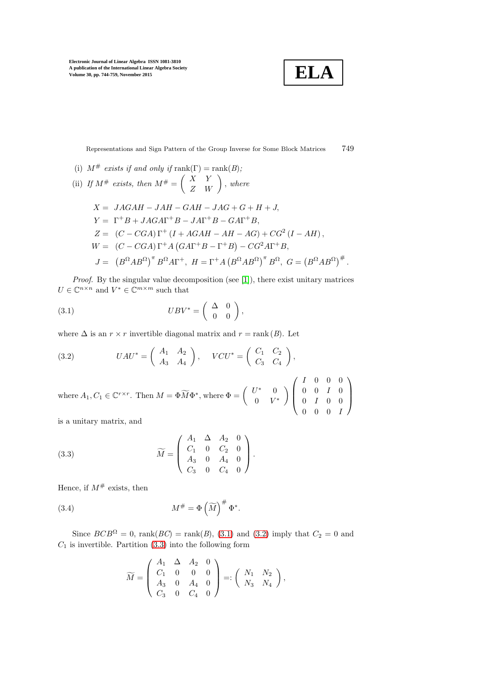**ELA**

Representations and Sign Pattern of the Group Inverse for Some Block Matrices 749

(i) 
$$
M^{\#}
$$
 exists if and only if rank( $\Gamma$ ) = rank(*B*);  
\n(ii) If  $M^{\#}$  exists, then  $M^{\#} = \begin{pmatrix} X & Y \ Z & W \end{pmatrix}$ , where  
\n $X = JAGAH - JAH - GAH - JAG + G + H + J,$   
\n $Y = \Gamma^{+}B + JAGA\Gamma^{+}B - JA\Gamma^{+}B - GAT^{+}B,$   
\n $Z = (C - CGA)\Gamma^{+} (I + AGAH - AH - AG) + CG^{2} (I - AH),$   
\n $W = (C - CGA)\Gamma^{+}A(GAT^{+}B - \Gamma^{+}B) - CG^{2}AT^{+}B,$   
\n $J = (B^{\Omega}AB^{\Omega})^{\pi}B^{\Omega}A\Gamma^{+}, H = \Gamma^{+}A (B^{\Omega}AB^{\Omega})^{\pi}B^{\Omega}, G = (B^{\Omega}AB^{\Omega})^{\#}.$ 

*Proof.* By the singular value decomposition (see [\[1\]](#page-14-0)), there exist unitary matrices  $U \in \mathbb{C}^{n \times n}$  and  $V^* \in \mathbb{C}^{m \times m}$  such that

<span id="page-5-0"></span>(3.1) 
$$
UBV^* = \begin{pmatrix} \Delta & 0 \\ 0 & 0 \end{pmatrix},
$$

where  $\Delta$  is an  $r \times r$  invertible diagonal matrix and  $r = \text{rank}(B)$ . Let

<span id="page-5-1"></span>(3.2) 
$$
UAU^* = \begin{pmatrix} A_1 & A_2 \\ A_3 & A_4 \end{pmatrix}, \quad VCU^* = \begin{pmatrix} C_1 & C_2 \\ C_3 & C_4 \end{pmatrix},
$$
  
where  $A_1, C_1 \in \mathbb{C}^{r \times r}$ . Then  $M = \Phi \widetilde{M} \Phi^*$ , where  $\Phi = \begin{pmatrix} U^* & 0 \\ 0 & V^* \end{pmatrix} \begin{pmatrix} I & 0 & 0 & 0 \\ 0 & 0 & I & 0 \\ 0 & I & 0 & 0 \\ 0 & 0 & 0 & I \end{pmatrix}$  is a unitary matrix and

is a unitary matrix, and

<span id="page-5-2"></span>(3.3) 
$$
\widetilde{M} = \begin{pmatrix} A_1 & \Delta & A_2 & 0 \\ C_1 & 0 & C_2 & 0 \\ A_3 & 0 & A_4 & 0 \\ C_3 & 0 & C_4 & 0 \end{pmatrix}.
$$

Hence, if  $M^{\#}$  exists, then

<span id="page-5-3"></span>(3.4) 
$$
M^{\#} = \Phi \left( \widetilde{M} \right)^{\#} \Phi^*.
$$

Since  $BCB^{\Omega} = 0$ , rank $(BC) = \text{rank}(B)$ , [\(3.1\)](#page-5-0) and [\(3.2\)](#page-5-1) imply that  $C_2 = 0$  and  $C_1$  is invertible. Partition [\(3.3\)](#page-5-2) into the following form

$$
\widetilde{M} = \left( \begin{array}{cccc} A_1 & \Delta & A_2 & 0 \\ C_1 & 0 & 0 & 0 \\ A_3 & 0 & A_4 & 0 \\ C_3 & 0 & C_4 & 0 \end{array} \right) =: \left( \begin{array}{cccc} N_1 & N_2 \\ N_3 & N_4 \end{array} \right),
$$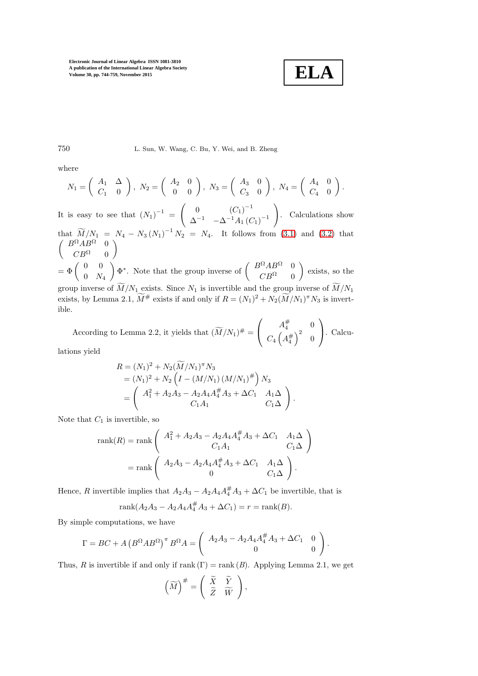$$
\boxed{\textbf{ELA}}
$$

750 L. Sun, W. Wang, C. Bu, Y. Wei, and B. Zheng

where

$$
N_1 = \begin{pmatrix} A_1 & \Delta \\ C_1 & 0 \end{pmatrix}, N_2 = \begin{pmatrix} A_2 & 0 \\ 0 & 0 \end{pmatrix}, N_3 = \begin{pmatrix} A_3 & 0 \\ C_3 & 0 \end{pmatrix}, N_4 = \begin{pmatrix} A_4 & 0 \\ C_4 & 0 \end{pmatrix}.
$$

It is easy to see that  $(N_1)^{-1}$  =  $\begin{pmatrix} 0 & (C_1)^{-1} \end{pmatrix}$  $\Delta^{-1}$  – $\Delta^{-1}A_1(C_1)^{-1}$  $\setminus$ . Calculations show

that  $\widetilde{M}/N_1 = N_4 - N_3 (N_1)^{-1} N_2 = N_4$ . It follows from [\(3.1\)](#page-5-0) and [\(3.2\)](#page-5-1) that  $\int B^{\Omega}AB^{\Omega} = 0$  $CB^{\Omega} = 0$  $\setminus$ 

 $=\Phi\left(\begin{array}{cc} 0 & 0 \\ 0 & N \end{array}\right)$  $0\quad N_4$  $\setminus$  $\Phi^*$ . Note that the group inverse of  $\begin{pmatrix} B^{\Omega}AB^{\Omega} & 0 \\ C D^{\Omega} & 0 \end{pmatrix}$  $CB^{\Omega} = 0$  $\overline{ }$ exists, so the group inverse of  $\widetilde{M}/N_1$  exists. Since  $N_1$  is invertible and the group inverse of  $\widetilde{M}/N_1$ exists, by Lemma 2.1,  $\tilde{M}^{\#}$  exists if and only if  $R = (N_1)^2 + N_2(\tilde{M}/N_1)^{\pi} N_3$  is invertible.

According to Lemma 2.2, it yields that  $(\widetilde{M}/N_1)^{\#}$  =  $\sqrt{ }$  $\mathbf{I}$  $A_4^{\#}$  0  $C_4\left(A_4^\#\right)^2$  0  $\setminus$ . Calcu-

lations yield

$$
R = (N_1)^2 + N_2(\widetilde{M}/N_1)^{\pi} N_3
$$
  
=  $(N_1)^2 + N_2 \left( I - (M/N_1) (M/N_1)^{\#} \right) N_3$   
=  $\begin{pmatrix} A_1^2 + A_2 A_3 - A_2 A_4 A_4^{\#} A_3 + \Delta C_1 & A_1 \Delta \\ C_1 A_1 & C_1 \Delta \end{pmatrix}.$ 

Note that  $C_1$  is invertible, so

rank(R) = rank 
$$
\begin{pmatrix} A_1^2 + A_2A_3 - A_2A_4A_4^{\#}A_3 + \Delta C_1 & A_1\Delta \\ C_1A_1 & C_1\Delta \end{pmatrix}
$$
  
= rank  $\begin{pmatrix} A_2A_3 - A_2A_4A_4^{\#}A_3 + \Delta C_1 & A_1\Delta \\ 0 & C_1\Delta \end{pmatrix}$ .

Hence, R invertible implies that  $A_2A_3 - A_2A_4A_4^{\#}A_3 + \Delta C_1$  be invertible, that is

$$
rank(A_2A_3 - A_2A_4A_4^{\#}A_3 + \Delta C_1) = r = rank(B).
$$

By simple computations, we have

$$
\Gamma = BC + A (B^{\Omega}AB^{\Omega})^{\pi} B^{\Omega} A = \begin{pmatrix} A_2A_3 - A_2A_4A_4^{\#} A_3 + \Delta C_1 & 0 \\ 0 & 0 \end{pmatrix}.
$$

Thus, R is invertible if and only if rank  $(\Gamma)$  = rank  $(B)$ . Applying Lemma 2.1, we get

$$
\left(\widetilde{M}\right)^{\#} = \left(\begin{array}{cc} \widetilde{X} & \widetilde{Y} \\ \widetilde{Z} & \widetilde{W} \end{array}\right),
$$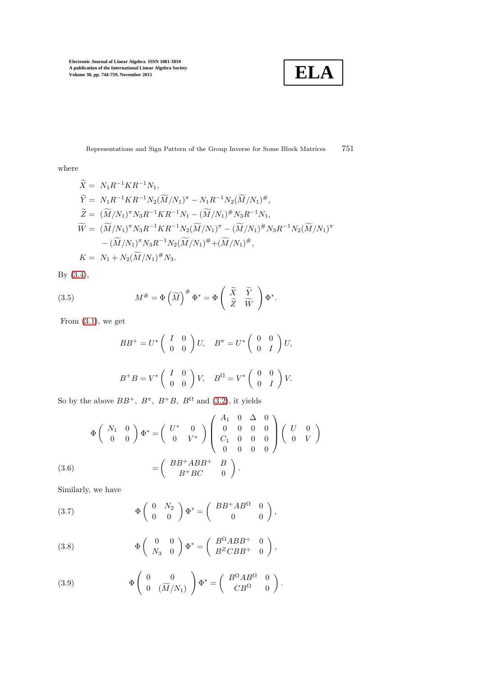**ELA**

Representations and Sign Pattern of the Group Inverse for Some Block Matrices  $751$ 

where

$$
\widetilde{X} = N_1 R^{-1} K R^{-1} N_1,
$$
  
\n
$$
\widetilde{Y} = N_1 R^{-1} K R^{-1} N_2 (\widetilde{M}/N_1)^{\pi} - N_1 R^{-1} N_2 (\widetilde{M}/N_1)^{\#},
$$
  
\n
$$
\widetilde{Z} = (\widetilde{M}/N_1)^{\pi} N_3 R^{-1} K R^{-1} N_1 - (\widetilde{M}/N_1)^{\#} N_3 R^{-1} N_1,
$$
  
\n
$$
\widetilde{W} = (\widetilde{M}/N_1)^{\pi} N_3 R^{-1} K R^{-1} N_2 (\widetilde{M}/N_1)^{\pi} - (\widetilde{M}/N_1)^{\#} N_3 R^{-1} N_2 (\widetilde{M}/N_1)^{\pi}
$$
  
\n
$$
- (\widetilde{M}/N_1)^{\pi} N_3 R^{-1} N_2 (\widetilde{M}/N_1)^{\#} + (\widetilde{M}/N_1)^{\#},
$$
  
\n
$$
K = N_1 + N_2 (\widetilde{M}/N_1)^{\#} N_3.
$$

By [\(3.4\)](#page-5-3),

<span id="page-7-3"></span>(3.5) 
$$
M^{\#} = \Phi \left( \widetilde{M} \right)^{\#} \Phi^* = \Phi \left( \begin{array}{cc} \widetilde{X} & \widetilde{Y} \\ \widetilde{Z} & \widetilde{W} \end{array} \right) \Phi^*.
$$

From [\(3.1\)](#page-5-0), we get

$$
BB^{+} = U^{*} \begin{pmatrix} I & 0 \\ 0 & 0 \end{pmatrix} U, \quad B^{\pi} = U^{*} \begin{pmatrix} 0 & 0 \\ 0 & I \end{pmatrix} U,
$$
  

$$
B^{+}B = V^{*} \begin{pmatrix} I & 0 \\ 0 & 0 \end{pmatrix} V, \quad B^{\Omega} = V^{*} \begin{pmatrix} 0 & 0 \\ 0 & I \end{pmatrix} V.
$$

So by the above  $BB^+$ ,  $B^{\pi}$ ,  $B^+B$ ,  $B^{\Omega}$  and [\(3.2\)](#page-5-1), it yields

$$
\Phi\begin{pmatrix} N_1 & 0 \\ 0 & 0 \end{pmatrix} \Phi^* = \begin{pmatrix} U^* & 0 \\ 0 & V^* \end{pmatrix} \begin{pmatrix} A_1 & 0 & \Delta & 0 \\ 0 & 0 & 0 & 0 \\ C_1 & 0 & 0 & 0 \\ 0 & 0 & 0 & 0 \end{pmatrix} \begin{pmatrix} U & 0 \\ 0 & V \end{pmatrix}
$$
  
(3.6) 
$$
= \begin{pmatrix} BB^+ABB^+ & B \\ B^+BC & 0 \end{pmatrix}.
$$

<span id="page-7-1"></span>Similarly, we have

(3.7) 
$$
\Phi\left(\begin{array}{cc} 0 & N_2 \\ 0 & 0 \end{array}\right)\Phi^* = \left(\begin{array}{cc} BB^+AB^{\Omega} & 0 \\ 0 & 0 \end{array}\right),
$$

<span id="page-7-2"></span>(3.8) 
$$
\Phi\left(\begin{array}{cc} 0 & 0 \\ N_3 & 0 \end{array}\right)\Phi^* = \left(\begin{array}{cc} B^{\Omega}ABB^+ & 0 \\ B^ZCBB^+ & 0 \end{array}\right),
$$

<span id="page-7-0"></span>(3.9) 
$$
\Phi\begin{pmatrix} 0 & 0 \\ 0 & (\widetilde{M}/N_1) \end{pmatrix} \Phi^* = \begin{pmatrix} B^{\Omega}AB^{\Omega} & 0 \\ CB^{\Omega} & 0 \end{pmatrix}.
$$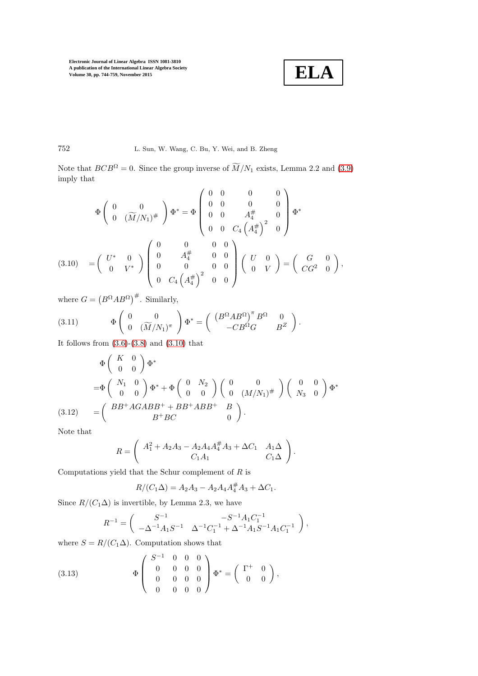$$
\boxed{\textbf{ELA}}
$$

# 752 L. Sun, W. Wang, C. Bu, Y. Wei, and B. Zheng

Note that  $BCB^{\Omega} = 0$ . Since the group inverse of  $\widetilde{M}/N_1$  exists, Lemma 2.2 and [\(3.9\)](#page-7-0) imply that

$$
\Phi\begin{pmatrix} 0 & 0 \\ 0 & (\widetilde{M}/N_1)^{\#} \end{pmatrix} \Phi^* = \Phi\begin{pmatrix} 0 & 0 & 0 & 0 \\ 0 & 0 & 0 & 0 \\ 0 & 0 & A_4^{\#} & 0 \\ 0 & 0 & C_4 \left(A_4^{\#}\right)^2 & 0 \end{pmatrix} \Phi^*
$$
\n
$$
(3.10) = \begin{pmatrix} U^* & 0 \\ 0 & V^* \end{pmatrix} \begin{pmatrix} 0 & 0 & 0 & 0 \\ 0 & A_4^{\#} & 0 & 0 \\ 0 & 0 & 0 & 0 \\ 0 & C_4 \left(A_4^{\#}\right)^2 & 0 & 0 \end{pmatrix} \begin{pmatrix} U & 0 \\ 0 & V \end{pmatrix} = \begin{pmatrix} G & 0 \\ CG^2 & 0 \end{pmatrix},
$$

<span id="page-8-0"></span>where  $G = (B^{\Omega}AB^{\Omega})^{\#}$ . Similarly,

(3.11) 
$$
\Phi\begin{pmatrix} 0 & 0 \\ 0 & (\widetilde{M}/N_1)^{\pi} \end{pmatrix} \Phi^* = \begin{pmatrix} \left(B^{\Omega}AB^{\Omega}\right)^{\pi}B^{\Omega} & 0 \\ -CB^{\Omega}G & B^Z \end{pmatrix}.
$$

It follows from  $(3.6)-(3.8)$  $(3.6)-(3.8)$  and  $(3.10)$  that

$$
\Phi\left(\begin{array}{cc} K & 0\\ 0 & 0 \end{array}\right)\Phi^*
$$
\n
$$
=\Phi\left(\begin{array}{cc} N_1 & 0\\ 0 & 0 \end{array}\right)\Phi^* + \Phi\left(\begin{array}{cc} 0 & N_2\\ 0 & 0 \end{array}\right)\left(\begin{array}{cc} 0 & 0\\ 0 & (M/N_1)^\# \end{array}\right)\left(\begin{array}{cc} 0 & 0\\ N_3 & 0 \end{array}\right)\Phi^*
$$
\n
$$
(3.12) \qquad = \left(\begin{array}{cc} BB^+AGABB^+ + BB^+ABB^+ & B\\ B^+BC & 0 \end{array}\right).
$$

<span id="page-8-2"></span>Note that

$$
R = \left( \begin{array}{cc} A_1^2 + A_2 A_3 - A_2 A_4 A_4^{\#} A_3 + \Delta C_1 & A_1 \Delta \\ C_1 A_1 & C_1 \Delta \end{array} \right).
$$

Computations yield that the Schur complement of  $R$  is

$$
R/(C_1\Delta) = A_2A_3 - A_2A_4A_4^{\#}A_3 + \Delta C_1.
$$

Since  $R/(C_1\Delta)$  is invertible, by Lemma 2.3, we have

$$
R^{-1} = \begin{pmatrix} S^{-1} & -S^{-1}A_1C_1^{-1} \\ -\Delta^{-1}A_1S^{-1} & \Delta^{-1}C_1^{-1} + \Delta^{-1}A_1S^{-1}A_1C_1^{-1} \end{pmatrix},
$$

where  $S = R/(C_1\Delta)$ . Computation shows that

<span id="page-8-1"></span>(3.13) 
$$
\Phi \begin{pmatrix} S^{-1} & 0 & 0 & 0 \\ 0 & 0 & 0 & 0 \\ 0 & 0 & 0 & 0 \\ 0 & 0 & 0 & 0 \end{pmatrix} \Phi^* = \begin{pmatrix} \Gamma^+ & 0 \\ 0 & 0 \end{pmatrix},
$$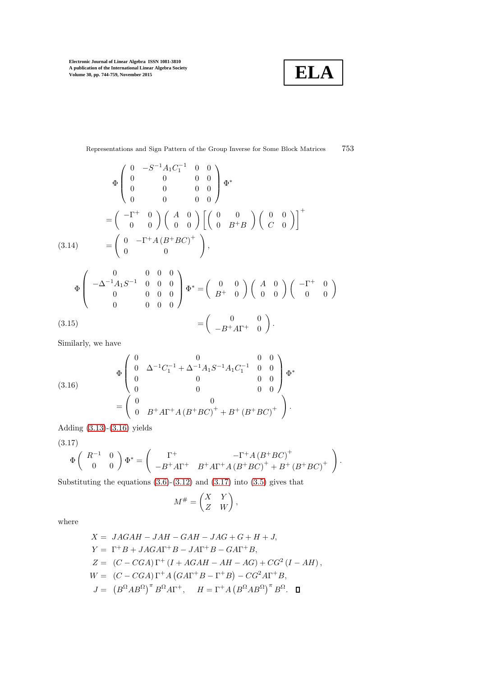**ELA**

Representations and Sign Pattern of the Group Inverse for Some Block Matrices  $\hspace{0.5cm} 753$ 

$$
\Phi\begin{pmatrix}\n0 & -S^{-1}A_1C_1^{-1} & 0 & 0 \\
0 & 0 & 0 & 0 \\
0 & 0 & 0 & 0\n\end{pmatrix}\Phi^*
$$
\n
$$
= \begin{pmatrix}\n-\Gamma^+ & 0 \\
0 & 0\n\end{pmatrix}\begin{pmatrix}\nA & 0 \\
0 & 0\n\end{pmatrix}\begin{pmatrix}\n0 & 0 \\
0 & B^+B\n\end{pmatrix}\begin{pmatrix}\n0 & 0 \\
C & 0\n\end{pmatrix}\end{pmatrix}^+
$$
\n(3.14)\n
$$
= \begin{pmatrix}\n0 & -\Gamma^+A(B^+BC)^+ \\
0 & 0\n\end{pmatrix},
$$
\n
$$
\Phi\begin{pmatrix}\n-\Delta^{-1}A_1S^{-1} & 0 & 0 & 0 \\
0 & 0 & 0 & 0 \\
0 & 0 & 0 & 0\n\end{pmatrix}\Phi^* = \begin{pmatrix}\n0 & 0 \\
B^+ & 0\n\end{pmatrix}\begin{pmatrix}\nA & 0 \\
0 & 0\n\end{pmatrix}\begin{pmatrix}\n-\Gamma^+ & 0 \\
0 & 0\n\end{pmatrix}
$$

(3.15) 
$$
= \begin{pmatrix} 0 & 0 \ -B^+A\Gamma^+ & 0 \end{pmatrix}.
$$

Similarly, we have

<span id="page-9-0"></span>(3.16) 
$$
\Phi \begin{pmatrix} 0 & 0 & 0 & 0 \\ 0 & \Delta^{-1}C_1^{-1} + \Delta^{-1}A_1S^{-1}A_1C_1^{-1} & 0 & 0 \\ 0 & 0 & 0 & 0 & 0 \\ 0 & 0 & 0 & 0 & 0 \end{pmatrix} \Phi^*
$$

$$
= \begin{pmatrix} 0 & 0 & 0 \\ 0 & B^+A\Gamma^+A(B^+BC)^+ + B^+(B^+BC)^+ \end{pmatrix}.
$$

Adding [\(3.13\)](#page-8-1)-[\(3.16\)](#page-9-0) yields

<span id="page-9-1"></span>(3.17)

$$
\Phi\left(\begin{array}{cc} R^{-1} & 0\\ 0 & 0 \end{array}\right)\Phi^* = \left(\begin{array}{cc} \Gamma^+ & -\Gamma^+A\left(B^+BC\right)^+\\ -B^+A\Gamma^+ & B^+A\Gamma^+A\left(B^+BC\right)^+ + B^+\left(B^+BC\right)^+ \end{array}\right).
$$

Substituting the equations  $(3.6)-(3.12)$  $(3.6)-(3.12)$  and  $(3.17)$  into  $(3.5)$  gives that

$$
M^{\#} = \begin{pmatrix} X & Y \\ Z & W \end{pmatrix},
$$

where

$$
X = JAGAH - JAH - GAH - JAG + G + H + J,
$$
  
\n
$$
Y = \Gamma^{+}B + JAGA\Gamma^{+}B - JAT^{+}B - GAT^{+}B,
$$
  
\n
$$
Z = (C - CGA)\Gamma^{+} (I + AGAH - AH - AG) + CG^{2} (I - AH),
$$
  
\n
$$
W = (C - CGA)\Gamma^{+}A (GAT^{+}B - \Gamma^{+}B) - CG^{2}AT^{+}B,
$$
  
\n
$$
J = (B^{\Omega}AB^{\Omega})^{\top}B^{\Omega}AT^{+}, \quad H = \Gamma^{+}A (B^{\Omega}AB^{\Omega})^{\top}B^{\Omega}.
$$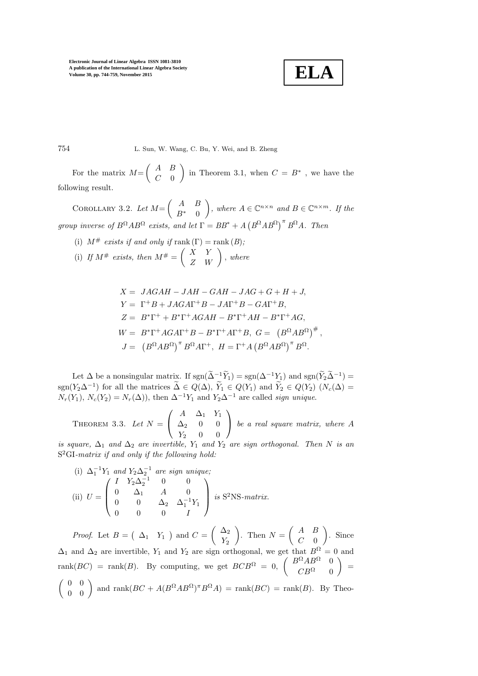

754 L. Sun, W. Wang, C. Bu, Y. Wei, and B. Zheng

For the matrix  $M=$  $\left( A \right) B$  $C=0$ in Theorem 3.1, when  $C = B^*$  , we have the following result.

COROLLARY 3.2. Let  $M = \begin{pmatrix} A & B \\ D^* & 0 \end{pmatrix}$  $B^*$  0  $\bigg), where A \in \mathbb{C}^{n \times n} and B \in \mathbb{C}^{n \times m}$ . If the *group inverse of*  $B^{\Omega}AB^{\Omega}$  *exists, and let*  $\Gamma = BB^* + A(B^{\Omega}AB^{\Omega})^{\pi}B^{\Omega}A$ . Then

(i)  $M^{\#}$  *exists if and only if* rank  $(\Gamma)$  = rank  $(B)$ ; (i) If  $M^{\#}$  exists, then  $M^{\#} = \begin{pmatrix} X & Y \\ Z & W \end{pmatrix}$ , where

$$
X = JAGAH - JAH - GAH - JAG + G + H + J,
$$
  
\n
$$
Y = \Gamma^{+}B + JAGA\Gamma^{+}B - JA\Gamma^{+}B - GAT^{+}B,
$$
  
\n
$$
Z = B^{*}\Gamma^{+} + B^{*}\Gamma^{+}AGAH - B^{*}\Gamma^{+}AH - B^{*}\Gamma^{+}AG,
$$
  
\n
$$
W = B^{*}\Gamma^{+}AGA\Gamma^{+}B - B^{*}\Gamma^{+}A\Gamma^{+}B, G = (B^{\Omega}AB^{\Omega})^{\#},
$$
  
\n
$$
J = (B^{\Omega}AB^{\Omega})^{\pi}B^{\Omega}A\Gamma^{+}, H = \Gamma^{+}A(B^{\Omega}AB^{\Omega})^{\pi}B^{\Omega}.
$$

Let  $\Delta$  be a nonsingular matrix. If  $sgn(\Delta^{-1}\tilde{Y}_1) = sgn(\Delta^{-1}Y_1)$  and  $sgn(\tilde{Y}_2\tilde{\Delta}^{-1}) =$ sgn(Y<sub>2</sub> $\Delta^{-1}$ ) for all the matrices  $\tilde{\Delta} \in Q(\Delta)$ ,  $\tilde{Y}_1 \in Q(Y_1)$  and  $\tilde{Y}_2 \in Q(Y_2)$   $(N_c(\Delta) =$  $N_r(Y_1)$ ,  $N_c(Y_2) = N_r(\Delta)$ , then  $\Delta^{-1}Y_1$  and  $Y_2\Delta^{-1}$  are called *sign unique*.

THEOREM 3.3. Let  $N =$  $\sqrt{ }$  $\mathbf{I}$  $A \quad \Delta_1 \quad Y_1$  $\Delta_2$  0 0  $Y_2$  0 0  $\setminus$ *be a real square matrix, where* A

*is square,*  $\Delta_1$  *and*  $\Delta_2$  *are invertible,*  $Y_1$  *and*  $Y_2$  *are sign orthogonal. Then* N *is an* S <sup>2</sup>GI*-matrix if and only if the following hold:*

(i) 
$$
\Delta_1^{-1}Y_1
$$
 and  $Y_2\Delta_2^{-1}$  are sign unique;  
\n(ii)  $U = \begin{pmatrix} I & Y_2\Delta_2^{-1} & 0 & 0 \\ 0 & \Delta_1 & A & 0 \\ 0 & 0 & \Delta_2 & \Delta_1^{-1}Y_1 \\ 0 & 0 & 0 & I \end{pmatrix}$  is S<sup>2</sup>NS-matrix.

*Proof.* Let  $B = \begin{pmatrix} \Delta_1 & Y_1 \end{pmatrix}$  and  $C =$  $\bigwedge$  $Y_2$  $\setminus$ . Then  $N =$  $\left( A \right)$  $C=0$  $\overline{ }$ . Since  $\Delta_1$  and  $\Delta_2$  are invertible,  $Y_1$  and  $Y_2$  are sign orthogonal, we get that rank $(BC)$  = rank $(B)$ . By computing, we get  $BCB^{\Omega} = 0$ ,  $\begin{pmatrix} B^{\Omega}AB^{\Omega} & 0 \\ C D^{\Omega} & 0 \end{pmatrix}$  $CB^{\Omega} = 0$  $\overline{ }$ =  $\begin{pmatrix} 0 & 0 \\ 0 & 0 \end{pmatrix}$  and  $\text{rank}(BC + A(B^{\Omega}AB^{\Omega})^{\pi}B^{\Omega}A) = \text{rank}(BC) = \text{rank}(B)$ . By Theo-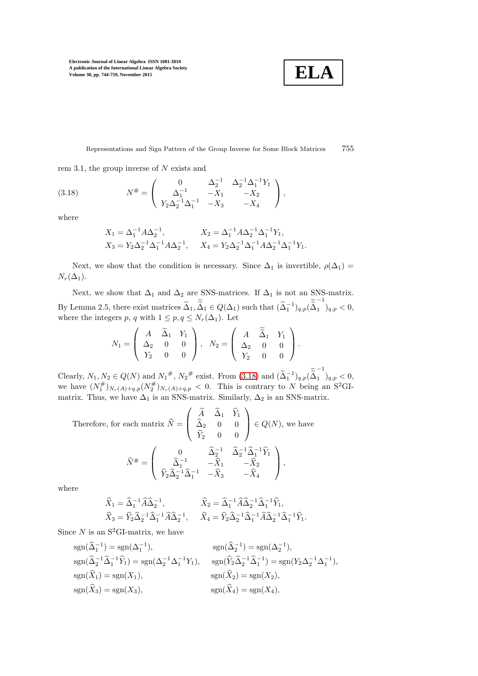**ELA**

Representations and Sign Pattern of the Group Inverse for Some Block Matrices 755

rem 3.1, the group inverse of  $N$  exists and

<span id="page-11-0"></span>(3.18) 
$$
N^{\#} = \begin{pmatrix} 0 & \Delta_2^{-1} & \Delta_2^{-1}\Delta_1^{-1}Y_1 \\ \Delta_1^{-1} & -X_1 & -X_2 \\ Y_2\Delta_2^{-1}\Delta_1^{-1} & -X_3 & -X_4 \end{pmatrix},
$$

where

$$
\begin{aligned} X_1 &= \Delta_1^{-1} A \Delta_2^{-1}, & X_2 &= \Delta_1^{-1} A \Delta_2^{-1} \Delta_1^{-1} Y_1, \\ X_3 &= Y_2 \Delta_2^{-1} \Delta_1^{-1} A \Delta_2^{-1}, & X_4 &= Y_2 \Delta_2^{-1} \Delta_1^{-1} A \Delta_2^{-1} \Delta_1^{-1} Y_1. \end{aligned}
$$

Next, we show that the condition is necessary. Since  $\Delta_1$  is invertible,  $\rho(\Delta_1)$  =  $N_r(\Delta_1)$ .

Next, we show that  $\Delta_1$  and  $\Delta_2$  are SNS-matrices. If  $\Delta_1$  is not an SNS-matrix. By Lemma 2.5, there exist matrices  $\widetilde{\Delta}_1, \widetilde{\widetilde{\Delta}}_1 \in Q(\Delta_1)$  such that  $(\widetilde{\Delta}_1^{-1})_{q,p}(\widetilde{\widetilde{\Delta}}_1^{-1})$  $\,_{1} \,$   $)_{q,p}$  < 0, where the integers p, q with  $1 \leq p, q \leq N_r(\Delta_1)$ . Let

$$
N_1 = \begin{pmatrix} A & \widetilde{\Delta}_1 & Y_1 \\ \Delta_2 & 0 & 0 \\ Y_2 & 0 & 0 \end{pmatrix}, \quad N_2 = \begin{pmatrix} A & \widetilde{\widetilde{\Delta}}_1 & Y_1 \\ \Delta_2 & 0 & 0 \\ Y_2 & 0 & 0 \end{pmatrix}.
$$

Clearly,  $N_1, N_2 \in Q(N)$  and  $N_1^{\#}, N_2^{\#}$  exist. From [\(3.18\)](#page-11-0) and  $(\tilde{\Delta}_1^{-1})_{q,p}(\tilde{\tilde{\Delta}}_1^{-1})$  $\,_{1} \,$   $\,_{q,p}$   $\, < 0,$ we have  $(N_1^{\#})_{N_r(A)+q,p}(N_2^{\#})_{N_r(A)+q,p} < 0$ . This is contrary to N being an S<sup>2</sup>GImatrix. Thus, we have  $\Delta_1$  is an SNS-matrix. Similarly,  $\Delta_2$  is an SNS-matrix.

Therefore, for each matrix 
$$
\hat{N} = \begin{pmatrix} \hat{A} & \hat{\Delta}_1 & \hat{Y}_1 \\ \hat{\Delta}_2 & 0 & 0 \\ \hat{Y}_2 & 0 & 0 \end{pmatrix} \in Q(N)
$$
, we have  
\n
$$
\hat{N}^{\#} = \begin{pmatrix} 0 & \hat{\Delta}_2^{-1} & \hat{\Delta}_2^{-1} \hat{\Delta}_1^{-1} \hat{Y}_1 \\ \hat{\Delta}_2^{-1} & -\hat{X}_1 & -\hat{X}_2 \\ \hat{Y}_2 \hat{\Delta}_2^{-1} \hat{\Delta}_1^{-1} & -\hat{X}_3 & -\hat{X}_4 \end{pmatrix},
$$

where

$$
\widehat{X}_1 = \widehat{\Delta}_1^{-1} \widehat{A} \widehat{\Delta}_2^{-1}, \qquad \widehat{X}_2 = \widehat{\Delta}_1^{-1} \widehat{A} \widehat{\Delta}_2^{-1} \widehat{\Delta}_1^{-1} \widehat{Y}_1, \n\widehat{X}_3 = \widehat{Y}_2 \widehat{\Delta}_2^{-1} \widehat{\Delta}_1^{-1} \widehat{A} \widehat{\Delta}_2^{-1}, \qquad \widehat{X}_4 = \widehat{Y}_2 \widehat{\Delta}_2^{-1} \widehat{\Delta}_1^{-1} \widehat{A} \widehat{\Delta}_2^{-1} \widehat{\Delta}_1^{-1} \widehat{Y}_1.
$$

Since  $N$  is an S<sup>2</sup>GI-matrix, we have

$$
sgn(\hat{\Delta}_1^{-1}) = sgn(\Delta_1^{-1}), \qquad \qquad sgn(\hat{\Delta}_2^{-1}) = sgn(\Delta_2^{-1}),
$$
  
\n
$$
sgn(\hat{\Delta}_2^{-1}\hat{\Delta}_1^{-1}\hat{Y}_1) = sgn(\Delta_2^{-1}\Delta_1^{-1}Y_1), \qquad \text{sgn}(\hat{Y}_2\hat{\Delta}_2^{-1}\hat{\Delta}_1^{-1}) = sgn(Y_2\Delta_2^{-1}\Delta_1^{-1}),
$$
  
\n
$$
sgn(\hat{X}_1) = sgn(X_1), \qquad \qquad sgn(\hat{X}_2) = sgn(X_2),
$$
  
\n
$$
sgn(\hat{X}_3) = sgn(X_3), \qquad \qquad sgn(\hat{X}_4) = sgn(X_4),
$$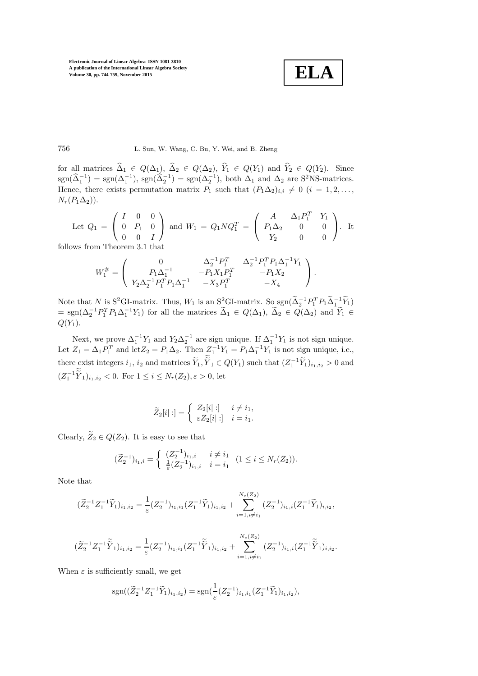**ELA**

756 L. Sun, W. Wang, C. Bu, Y. Wei, and B. Zheng

for all matrices  $\Delta_1 \in Q(\Delta_1), \Delta_2 \in Q(\Delta_2), Y_1 \in Q(Y_1)$  and  $Y_2 \in Q(Y_2)$ . Since  $sgn(\hat{\Delta}_1^{-1}) = sgn(\Delta_1^{-1}), sgn(\hat{\Delta}_2^{-1}) = sgn(\Delta_2^{-1}),$  both  $\Delta_1$  and  $\Delta_2$  are S<sup>2</sup>NS-matrices. Hence, there exists permutation matrix  $P_1$  such that  $(P_1\Delta_2)_{i,i} \neq 0$   $(i = 1, 2, \ldots,$  $N_r(P_1\Delta_2)$ .

Let 
$$
Q_1 = \begin{pmatrix} I & 0 & 0 \\ 0 & P_1 & 0 \\ 0 & 0 & I \end{pmatrix}
$$
 and  $W_1 = Q_1 N Q_1^T = \begin{pmatrix} A & \Delta_1 P_1^T & Y_1 \\ P_1 \Delta_2 & 0 & 0 \\ Y_2 & 0 & 0 \end{pmatrix}$ . It

follows from Theorem 3.1 that

$$
W_1^{\#} = \left( \begin{array}{ccc} 0 & \Delta_2^{-1} P_1^T & \Delta_2^{-1} P_1^T P_1 \Delta_1^{-1} Y_1 \\ P_1 \Delta_1^{-1} & -P_1 X_1 P_1^T & -P_1 X_2 \\ Y_2 \Delta_2^{-1} P_1^T P_1 \Delta_1^{-1} & -X_3 P_1^T & -X_4 \end{array} \right).
$$

Note that N is S<sup>2</sup>GI-matrix. Thus, W<sub>1</sub> is an S<sup>2</sup>GI-matrix. So sgn( $\tilde{\Delta}_2^{-1}P_1^T P_1 \tilde{\Delta}_1^{-1} \tilde{Y}_1$ )  $=\text{sgn}(\Delta_2^{-1}P_1^T P_1 \Delta_1^{-1} Y_1)$  for all the matrices  $\tilde{\Delta}_1 \in Q(\Delta_1)$ ,  $\tilde{\Delta}_2 \in Q(\Delta_2)$  and  $\tilde{Y}_1 \in$  $Q(Y_1)$ .

Next, we prove  $\Delta_1^{-1}Y_1$  and  $Y_2\Delta_2^{-1}$  are sign unique. If  $\Delta_1^{-1}Y_1$  is not sign unique. Let  $Z_1 = \Delta_1 P_1^T$  and let  $Z_2 = P_1 \Delta_2$ . Then  $Z_1^{-1} Y_1 = P_1 \Delta_1^{-1} Y_1$  is not sign unique, i.e., there exist integers  $i_1, i_2$  and matrices  $\widetilde{Y}_1, \widetilde{Y}_1 \in Q(Y_1)$  such that  $(Z_1^{-1}\widetilde{Y}_1)_{i_1, i_2} > 0$  and  $(Z_1^{-1}\widetilde{Y}_1)_{i_1,i_2} < 0$ . For  $1 \leq i \leq N_r(Z_2), \varepsilon > 0$ , let

$$
\widetilde{Z}_2[i] : = \begin{cases} Z_2[i] : ] & i \neq i_1, \\ \varepsilon Z_2[i] : ] & i = i_1. \end{cases}
$$

Clearly,  $\widetilde{Z}_2 \in Q(Z_2)$ . It is easy to see that

$$
(\widetilde{Z}_2^{-1})_{i_1,i} = \begin{cases} (Z_2^{-1})_{i_1,i} & i \neq i_1 \\ \frac{1}{\varepsilon} (Z_2^{-1})_{i_1,i} & i = i_1 \end{cases} (1 \leq i \leq N_r(Z_2)).
$$

Note that

$$
(\widetilde{Z}_2^{-1}Z_1^{-1}\widetilde{Y}_1)_{i_1,i_2} = \frac{1}{\varepsilon} (Z_2^{-1})_{i_1,i_1} (Z_1^{-1}\widetilde{Y}_1)_{i_1,i_2} + \sum_{i=1, i \neq i_1}^{N_c(Z_2)} (Z_2^{-1})_{i_1,i} (Z_1^{-1}\widetilde{Y}_1)_{i,i_2},
$$

$$
(\widetilde{Z}_2^{-1}Z_1^{-1}\widetilde{\widetilde{Y}}_1)_{i_1,i_2} = \frac{1}{\varepsilon} (Z_2^{-1})_{i_1,i_1} (Z_1^{-1}\widetilde{\widetilde{Y}}_1)_{i_1,i_2} + \sum_{i=1, i \neq i_1}^{N_c(Z_2)} (Z_2^{-1})_{i_1,i_1} (Z_1^{-1}\widetilde{\widetilde{Y}}_1)_{i,i_2}.
$$

When  $\varepsilon$  is sufficiently small, we get

$$
sgn((\widetilde{Z}_2^{-1}Z_1^{-1}\widetilde{Y}_1)_{i_1,i_2}) = sgn(\frac{1}{\varepsilon}(Z_2^{-1})_{i_1,i_1}(Z_1^{-1}\widetilde{Y}_1)_{i_1,i_2}),
$$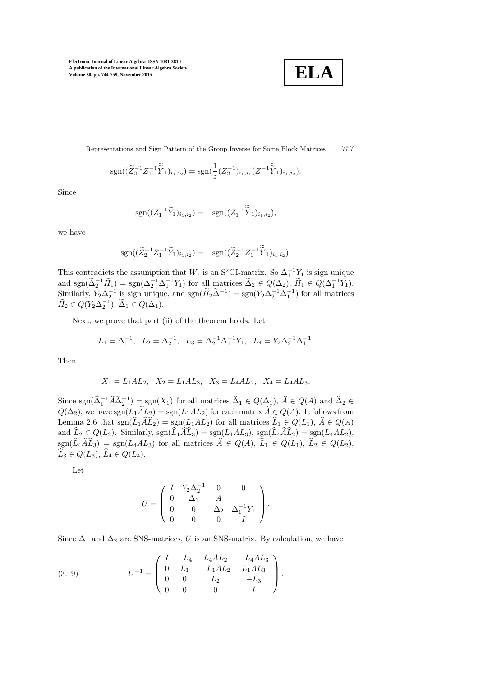$$
\boxed{\textbf{ELA}}
$$

Representations and Sign Pattern of the Group Inverse for Some Block Matrices 757

$$
sgn((\widetilde{Z}_2^{-1}Z_1^{-1}\widetilde{\widetilde{Y}}_1)_{i_1,i_2}) = sgn(\frac{1}{\varepsilon}(Z_2^{-1})_{i_1,i_1}(Z_1^{-1}\widetilde{\widetilde{Y}}_1)_{i_1,i_2}).
$$

Since

$$
\mathrm{sgn}((Z_1^{-1}\widetilde{Y}_1)_{i_1,i_2})=-\mathrm{sgn}((Z_1^{-1}\widetilde{\widetilde{Y}}_1)_{i_1,i_2}),
$$

we have

$$
sgn((\widetilde{Z}_2^{-1}Z_1^{-1}\widetilde{Y}_1)_{i_1,i_2})=-sgn((\widetilde{Z}_2^{-1}Z_1^{-1}\widetilde{\widetilde{Y}}_1)_{i_1,i_2}).
$$

This contradicts the assumption that  $W_1$  is an S<sup>2</sup>GI-matrix. So  $\Delta_1^{-1} Y_1$  is sign unique and  $sgn(\tilde{\Delta}_2^{-1}\tilde{H}_1) = sgn(\Delta_2^{-1}\Delta_1^{-1}Y_1)$  for all matrices  $\tilde{\Delta}_2 \in Q(\Delta_2)$ ,  $\tilde{H}_1 \in Q(\Delta_1^{-1}Y_1)$ . Similarly,  $Y_2 \Delta_2^{-1}$  is sign unique, and  $sgn(\widetilde{H}_2 \widetilde{\Delta}_1^{-1}) = sgn(Y_2 \Delta_2^{-1} \Delta_1^{-1})$  for all matrices  $\widetilde{H}_2 \in Q(Y_2 \Delta_2^{-1}), \, \widetilde{\Delta}_1 \in Q(\Delta_1).$ 

Next, we prove that part (ii) of the theorem holds. Let

$$
L_1 = \Delta_1^{-1}, \quad L_2 = \Delta_2^{-1}, \quad L_3 = \Delta_2^{-1} \Delta_1^{-1} Y_1, \quad L_4 = Y_2 \Delta_2^{-1} \Delta_1^{-1}.
$$

Then

$$
X_1 = L_1AL_2
$$
,  $X_2 = L_1AL_3$ ,  $X_3 = L_4AL_2$ ,  $X_4 = L_4AL_3$ .

Since  $sgn(\widehat{\Delta}_1^{-1}\widehat{A}\widehat{\Delta}_2^{-1}) = sgn(X_1)$  for all matrices  $\widehat{\Delta}_1 \in Q(\Delta_1)$ ,  $\widehat{A} \in Q(A)$  and  $\widehat{\Delta}_2 \in$  $Q(\Delta_2)$ , we have  $sgn(L_1\widetilde{A}L_2) = sgn(L_1AL_2)$  for each matrix  $\widetilde{A} \in Q(A)$ . It follows from Lemma 2.6 that sgn $(\widehat{L}_1\widehat{A}\widehat{L}_2) = \text{sgn}(L_1AL_2)$  for all matrices  $\widehat{L}_1 \in Q(L_1), \widehat{A} \in Q(A)$ and  $\widehat{L}_2 \in Q(L_2)$ . Similarly,  $sgn(\widetilde{L}_1 \widehat{A} \widehat{L}_3) = sgn(L_1AL_3)$ ,  $sgn(\widehat{L}_4 \widehat{A} \widehat{L}_2) = sgn(L_4AL_2)$ ,  $sgn(\widehat{L}_4\widehat{A}\widehat{L}_3) = sgn(L_4AL_3)$  for all matrices  $\widehat{A} \in Q(A), \widehat{L}_1 \in Q(L_1), \widehat{L}_2 \in Q(L_2),$  $\widehat{L}_3 \in Q(L_3), \widehat{L}_4 \in Q(L_4).$ 

Let

$$
U = \left( \begin{array}{cccc} I & Y_2 \Delta_2^{-1} & 0 & 0 \\ 0 & \Delta_1 & A & \\ 0 & 0 & \Delta_2 & \Delta_1^{-1} Y_1 \\ 0 & 0 & 0 & I \end{array} \right).
$$

Since  $\Delta_1$  and  $\Delta_2$  are SNS-matrices, U is an SNS-matrix. By calculation, we have

<span id="page-13-0"></span>(3.19) 
$$
U^{-1} = \begin{pmatrix} I & -L_4 & L_4 A L_2 & -L_4 A L_3 \ 0 & L_1 & -L_1 A L_2 & L_1 A L_3 \ 0 & 0 & L_2 & -L_3 \ 0 & 0 & 0 & I \end{pmatrix}.
$$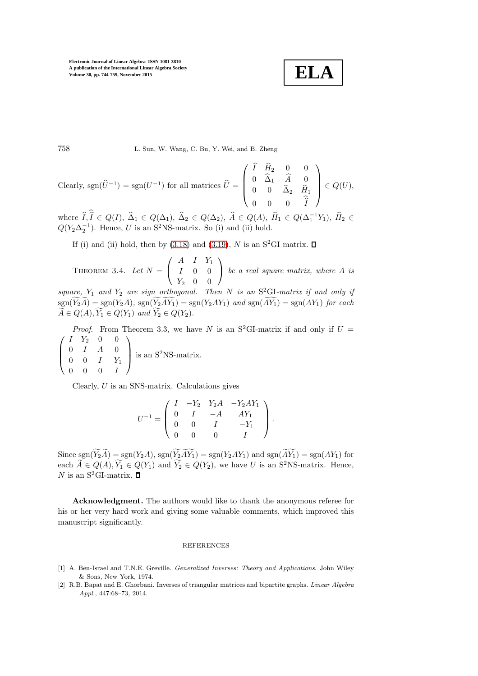$$
\boxed{\textbf{ELA}}
$$

758 L. Sun, W. Wang, C. Bu, Y. Wei, and B. Zheng

Clearly, sgn $(\hat{U}^{-1}) = \text{sgn}(U^{-1})$  for all matrices  $\hat{U} =$  $\sqrt{ }$  $\overline{\phantom{a}}$  $I$   $H_2$  0 0  $0 \Delta_1 A_0$ 0 0  $\Delta_2$   $H_1$  $0 \quad 0 \quad 0 \quad I$  $\setminus$  $\Bigg| \in Q(U),$ 

where  $\widehat{I}, \widehat{I} \in Q(I), \widehat{\Delta}_1 \in Q(\Delta_1), \widehat{\Delta}_2 \in Q(\Delta_2), \widehat{A} \in Q(A), \widehat{H}_1 \in Q(\Delta_1^{-1}Y_1), \widehat{H}_2 \in$  $Q(Y_2\Delta_2^{-1})$ . Hence, U is an S<sup>2</sup>NS-matrix. So (i) and (ii) hold.

If (i) and (ii) hold, then by [\(3.18\)](#page-11-0) and [\(3.19\)](#page-13-0), N is an S<sup>2</sup>GI matrix.  $\Box$ 

THEOREM 3.4. Let  $N =$  $\sqrt{ }$  $\mathbf{I}$  $A$   $I$   $Y_1$ I 0 0  $Y_2$  0 0  $\setminus$ *be a real square matrix, where* A *is*

 $square, Y_1$  and  $Y_2$  are sign orthogonal. Then N is an  $S^2$ GI-matrix if and only if  $sgn(\widetilde{Y}_2\widetilde{A}) = sgn(Y_2A), sgn(\widetilde{Y}_2\widetilde{AY}_1) = sgn(Y_2AY_1)$  *and*  $sgn(\widetilde{AY}_1) = sgn(AY_1)$  *for each*  $\widetilde{A} \in Q(A), \widetilde{Y_1} \in Q(Y_1)$  and  $\widetilde{Y_2} \in Q(Y_2)$ .

*Proof.* From Theorem 3.3, we have N is an S<sup>2</sup>GI-matrix if and only if  $U =$  $\sqrt{ }$  $\overline{\phantom{a}}$  $I \quad Y_2 \quad 0 \quad 0$  $0$   $I$   $A$   $0$  $0 \t 0 \t I \t Y_1$  $0 \quad 0 \quad 0 \quad I$  $\setminus$ is an  $S^2$ NS-matrix.

Clearly, U is an SNS-matrix. Calculations gives

$$
U^{-1} = \begin{pmatrix} I & -Y_2 & Y_2A & -Y_2AY_1 \\ 0 & I & -A & AY_1 \\ 0 & 0 & I & -Y_1 \\ 0 & 0 & 0 & I \end{pmatrix}.
$$

Since  $sgn(\widetilde{Y}_2\widetilde{A})=sgn(Y_2A)$ ,  $sgn(\widetilde{Y}_2\widetilde{AY}_1)=sgn(Y_2AY_1)$  and  $sgn(\widetilde{AY}_1)=sgn(AY_1)$  for each  $\widetilde{A} \in Q(A), \widetilde{Y_1} \in Q(Y_1)$  and  $\widetilde{Y_2} \in Q(Y_2)$ , we have U is an S<sup>2</sup>NS-matrix. Hence, N is an  $S^2$ GI-matrix.  $\Box$ 

Acknowledgment. The authors would like to thank the anonymous referee for his or her very hard work and giving some valuable comments, which improved this manuscript significantly.

#### REFERENCES

- <span id="page-14-0"></span>[1] A. Ben-Israel and T.N.E. Greville. *Generalized Inverses: Theory and Applications*. John Wiley & Sons, New York, 1974.
- <span id="page-14-1"></span>[2] R.B. Bapat and E. Ghorbani. Inverses of triangular matrices and bipartite graphs. *Linear Algebra Appl.*, 447:68–73, 2014.